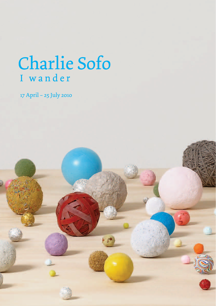# Charlie Sofo I wander

17 April – 25 July 2010

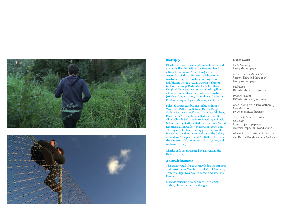



#### *Biography*

Charlie Sofo was born in 1983 in Melbourne and currently lives in Melbourne. He completed a Bachelor of Visual Arts (Hons) at the Australian National University School of Art, Australian Capital Territory, in 2005. Solo exhibitions include FACTS, Utopian Slumps, Melbourne, 2009; Particular Particles, Darren Knight Gallery, Sydney, 2008; Something like a Human, Australian National Capital Artists (ANCA), Canberra, 2007; Containers, Canberra Contemporary Art Space (Manuka), Canberra, ACT.

Selected group exhibitions include Kinmont, Van Hout, Patterson, Sofo, at Darren Knight Gallery, Sydney 2010; I'm worst at what I do best, Parramatta Artists Studios, Sydney, 2009; Soft Glue - Charlie Sofo and Mary Macdougal, Black & Blue Gallery, Redfern, Sydney, 2009; New World Records, Sutton Gallery, Melbourne, 2009; and The Ergas Collection, Gallery 9, Sydney, 2008. His work is held in the collections of the Gallery of Modern Art/Queensland Art Gallery, Brisbane; the Museum of Contemporary Art, Sydney; and Artbank, Sydney. and  $\alpha$  it by sitting around; it is interesting and  $\alpha$ Selected group  $\epsilon$ 

Charlie Sofo is represented by Darren Knight Gallery, Sydney.

### **Acknowledgements**

The artist would like to acknowledge the support and assistance of Tim Metherall, Carol Peterson, Tom Polo, Jeph Neale, Sue Cramer and Katarina<br>-Paseta. based on a particular walk around the artist's state  $\mathcal{L}$ 

© Heide Museum of Modern Art, the artist, author, photographer and designer  $\overline{a}$  landscape in and convey in and convey  $\overline{a}$ 

#### List of works

Me & You 2005 laser print on paper we passed the paper

Actions and events that have happened here and there 2005 laser print on paper

Birds 2008 prids 2006<br>DVD duration 1.29 minutes of private reversion reversion  $\frac{1}{2}$  and  $\frac{1}{2}$  and  $\frac{1}{2}$  are the solo data to a tune set

Drumstick 2008 DVD duration 2.07 minutes

Charlie Sofo (with Tim Metherall) *I* wander 2010 DVD ten minute duration Charlie Sofo (with Tim Metherall)

Charlie Sofo (with friends) *Balls* 2010 Balls 2010<br>found objects, paper, wool, electrical tape, foil, wood, stone **Charlie Sofo (with friends)** found objects, paper, wool,

All works are courtesy of the artist and Darren Knight Gallery, Sydney.  $\sigma$  below by discovered while  $\sigma$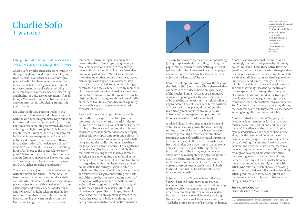# Charlie Sofo I wander

## *Lately, it feels like I've been making a conscious decision to wander, and through that, discover.*<sup>1</sup>

Charlie Sofo's works often arise from wandering through neighbourhood streets. Stepping out from his studio, on either casual or more preplanned walks, he observes and collects life's incidental details, finding meaning in simple processes, materials and actions. Walking is important to Sofo's art as a means of 'searching and finding, as a ritual or observation'. After all, he says, 'You need to get ideas from somewhere and you can't just do it by sitting around; it is good to get out!'

His video, sculptural and text works in this exhibition seek to map or index his encounters with the world, not in systematic ways but as an intuitive and poetic expression of the artist's self. For him, art is something discovered, described or brought to light through his daily interactions. His statement 'I wander', the title of his project for Heide, is less an expression of 'wanderlust' in the great romantic tradition of art, than a factual description of his existence, akin to 'I breathe', 'I sleep', 'I eat', 'I make art'. Describing himself as 'averse to the spectacular or overly grand', Sofo chooses to focus on 'the mundane and the familiar', on places he knows well, and on 'traversing these places over and over again until they yield some idea or realisation'.

The video *I wander* (2010), made in collaboration with filmmaker and friend Tim Metherall, is based on a particular walk around the artist's own suburb. Sofo describes it as 'an observational piece and performance' that aspires to 'map out a landscape' and convey 'a sense of place in an emotional way'. In it, he takes an unorthodox route, incorporating his own shortcuts and byways, moving between the tidy streets of Northcote, its light-industrial areas and the

remnants of surrounding bushland by the creek—the kind of landscape that gives urban dwellers the illusion of being in the country. We see him, for example, follow a well-trodden but unlaid path down to Merri Creek, mount the embankment that borders the railway track, clamber precariously across a rock face, stop to play with a soccer ball found under a bridge, climb a tree and scale a fence. There are moments of private reverie, as when Sofo dances to a tune on the transistor, or sits on the grass listening to bird sounds which mingle with the hum of traffic or, in the video's final scene, discovers a quaintly decorated backyard and pauses momentarily to consider its charms.

A sense of connection to people and places is quite differently expressed in *Balls* (2010), a sculptural work that offers a material index to his world in the form of a constellation of spheres. Varying in size, scale and texture, the balls are dispersed across the surface of a table setting up chance relationships. Some are found objects—a tennis ball discovered while walking, a blue ball lying around the studio—but most have been made by the artist from materials he has gathered or received as gifts from friends. Initially the materials for making the balls were collected at Heide, such as 'wrapping paper found in the carpark, wood from the creek, a round fruit found in the garden', while other items were gathered on his walk to the railway station to catch the train home. The collection of balls grew as friends and fellow artists began contributing materials and objects, so that 'the work became a point of connection with people' and the balls became 'objects of exchange and a medium of dialogue'. While the origins of the materials (including chocolate wrappers, electrical tape, pieces of wool, used Post-it notes) remain as traces in the work, these ordinary, incidental things have been given a new abstract and poetic dimension.



They are transformed by the artist's act of making (using simple methods like rolling, sticking and papier maché) and by the associative qualities of spheres, which for Sofo evoke ideas of 'language and notation…The balls are like letters, notes or objects in the landscape', he says.

Coloured dots appear hovering above the heads of the birds in *Birds* (2008), an earlier video work that connects with the idea of notation, specifically of the musical kind. Structured as an animated sequence of photographs, the video shows a series of birds sitting on power lines—a sight familiar to any wanderer. The dots mark each bird's position on the wire. By transposing this configuration to an arrangement of notes on a music stave, Sofo creates a simple piano composition, which becomes the video's quirky soundtrack.

A related video, *Drumstick* (2008), shows one of Sofo's friends walking down the street, noisily trailing a drumstick across the fences he passes, an activity recalling a mischievous childhood pastime. A range of startling percussive patterns arise as the stick hits the fences, the materials from which they are made—metal, wood, stone or brush—registering as clattering, staccato bursts of sound. The editing together of short, sharp video-takes heightens the piece's rhythmic qualities. Using straightforward, low-tech methods to record aspects of the environment, Sofo uncovers an unexpected lyricism in both *Birds* and *Drumstick*, as he activates the latent music of the suburbs.

Sofo's artist's book *Actions and events that have happened here and there*, an ongoing project begun in 2005, further explores art's relationship to the everyday. A statement on each page describes a simple gesture or action carried out by the artist, several of which involve walking. One such action is a walk tracing a specific route: 'I walk the entire perimeter of Northcote (3.5 hours)'. Front and back cover: Charlie Sofo (with friends) *Balls* (detail) 2010 Photographer: John Brash Inside front cover: Charlie Sofo (with Tim Metherall) *I wander* 2010 video stills Left: Charlie Sofo *Birds* 2008 video still

Another leads to a personal encounter and a seemingly random act of generosity: 'From my house I walk until I find three native flowers: grevillea, bottlebrush and wattle. I then give them to someone as a present'. Other examples include a walk that mildly disrupts routine: 'I go to Coles Supermarket and stand perfectly still in the middle of an aisle with my eyes closed (2 mins)', and one that transgresses the boundaries of private space: 'I walk through the front gate of a random house and stand in the front yard'. Who knows what consequences might arise from these small interventions into ordinary life? Sofo's whimsical activities gain meaning through their context as art, and they offer us a view of art as being integrally intertwined with life.

Another textual work is *Me & You* (2005), a devotional love poem in the form of a two-part musical score, one part for 'me' and the other for 'you'. The silence of the first part, implied by repeated pauses on the page of sheet music, alongside the clamour of notes on the second page, graphically expresses the intensity of one person's feelings for another. A work at once personal and universal in its theme, *Me & You* uncovers a quietly romantic sensibility running through Sofo's art and his wanderer's quest for meaning in ordinary activities and things. Perhaps, in setting out on his walks, Sofo has more in common than one might think with artists who take their sketchbooks on drawing excursions out-of-doors. Like the sketches these artists produce, Sofo's video, sculptural and text works notate what he sees and offer ways of registering experience.

**Sue Cramer, Curator**  Heide Museum of Modern Art

<sup>1.</sup> All quotes are from the artist, taken from conversations and email correspondence with Sue Cramer February – April 2010.